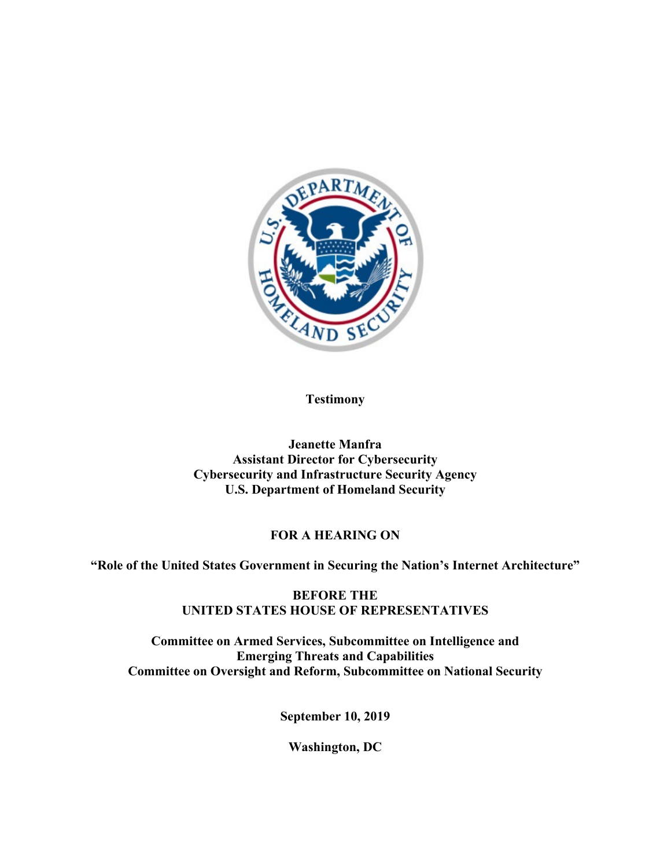

**Testimony**

**Jeanette Manfra Assistant Director for Cybersecurity Cybersecurity and Infrastructure Security Agency U.S. Department of Homeland Security**

# **FOR A HEARING ON**

**"Role of the United States Government in Securing the Nation's Internet Architecture"**

**BEFORE THE UNITED STATES HOUSE OF REPRESENTATIVES**

**Committee on Armed Services, Subcommittee on Intelligence and Emerging Threats and Capabilities Committee on Oversight and Reform, Subcommittee on National Security** 

**September 10, 2019**

**Washington, DC**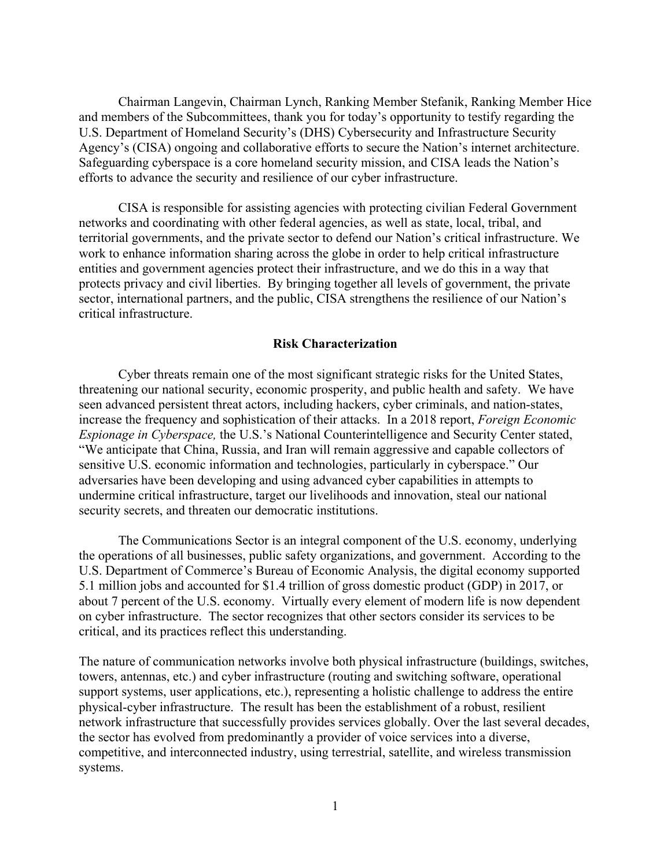Chairman Langevin, Chairman Lynch, Ranking Member Stefanik, Ranking Member Hice and members of the Subcommittees, thank you for today's opportunity to testify regarding the U.S. Department of Homeland Security's (DHS) Cybersecurity and Infrastructure Security Agency's (CISA) ongoing and collaborative efforts to secure the Nation's internet architecture. Safeguarding cyberspace is a core homeland security mission, and CISA leads the Nation's efforts to advance the security and resilience of our cyber infrastructure.

CISA is responsible for assisting agencies with protecting civilian Federal Government networks and coordinating with other federal agencies, as well as state, local, tribal, and territorial governments, and the private sector to defend our Nation's critical infrastructure. We work to enhance information sharing across the globe in order to help critical infrastructure entities and government agencies protect their infrastructure, and we do this in a way that protects privacy and civil liberties. By bringing together all levels of government, the private sector, international partners, and the public, CISA strengthens the resilience of our Nation's critical infrastructure.

## **Risk Characterization**

Cyber threats remain one of the most significant strategic risks for the United States, threatening our national security, economic prosperity, and public health and safety. We have seen advanced persistent threat actors, including hackers, cyber criminals, and nation-states, increase the frequency and sophistication of their attacks. In a 2018 report, *Foreign Economic Espionage in Cyberspace,* the U.S.'s National Counterintelligence and Security Center stated, "We anticipate that China, Russia, and Iran will remain aggressive and capable collectors of sensitive U.S. economic information and technologies, particularly in cyberspace." Our adversaries have been developing and using advanced cyber capabilities in attempts to undermine critical infrastructure, target our livelihoods and innovation, steal our national security secrets, and threaten our democratic institutions.

The Communications Sector is an integral component of the U.S. economy, underlying the operations of all businesses, public safety organizations, and government. According to the U.S. Department of Commerce's Bureau of Economic Analysis, the digital economy supported 5.1 million jobs and accounted for \$1.4 trillion of gross domestic product (GDP) in 2017, or about 7 percent of the U.S. economy. Virtually every element of modern life is now dependent on cyber infrastructure. The sector recognizes that other sectors consider its services to be critical, and its practices reflect this understanding.

The nature of communication networks involve both physical infrastructure (buildings, switches, towers, antennas, etc.) and cyber infrastructure (routing and switching software, operational support systems, user applications, etc.), representing a holistic challenge to address the entire physical-cyber infrastructure. The result has been the establishment of a robust, resilient network infrastructure that successfully provides services globally. Over the last several decades, the sector has evolved from predominantly a provider of voice services into a diverse, competitive, and interconnected industry, using terrestrial, satellite, and wireless transmission systems.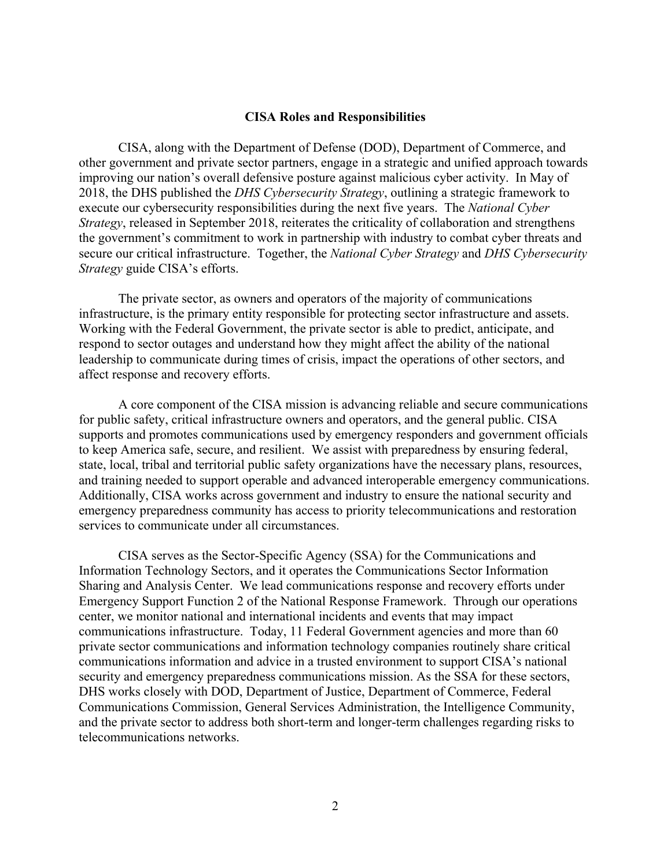## **CISA Roles and Responsibilities**

CISA, along with the Department of Defense (DOD), Department of Commerce, and other government and private sector partners, engage in a strategic and unified approach towards improving our nation's overall defensive posture against malicious cyber activity. In May of 2018, the DHS published the *DHS Cybersecurity Strategy*, outlining a strategic framework to execute our cybersecurity responsibilities during the next five years. The *National Cyber Strategy*, released in September 2018, reiterates the criticality of collaboration and strengthens the government's commitment to work in partnership with industry to combat cyber threats and secure our critical infrastructure. Together, the *National Cyber Strategy* and *DHS Cybersecurity Strategy* guide CISA's efforts.

The private sector, as owners and operators of the majority of communications infrastructure, is the primary entity responsible for protecting sector infrastructure and assets. Working with the Federal Government, the private sector is able to predict, anticipate, and respond to sector outages and understand how they might affect the ability of the national leadership to communicate during times of crisis, impact the operations of other sectors, and affect response and recovery efforts.

A core component of the CISA mission is advancing reliable and secure communications for public safety, critical infrastructure owners and operators, and the general public. CISA supports and promotes communications used by emergency responders and government officials to keep America safe, secure, and resilient. We assist with preparedness by ensuring federal, state, local, tribal and territorial public safety organizations have the necessary plans, resources, and training needed to support operable and advanced interoperable emergency communications. Additionally, CISA works across government and industry to ensure the national security and emergency preparedness community has access to priority telecommunications and restoration services to communicate under all circumstances.

CISA serves as the Sector-Specific Agency (SSA) for the Communications and Information Technology Sectors, and it operates the Communications Sector Information Sharing and Analysis Center. We lead communications response and recovery efforts under Emergency Support Function 2 of the National Response Framework. Through our operations center, we monitor national and international incidents and events that may impact communications infrastructure. Today, 11 Federal Government agencies and more than 60 private sector communications and information technology companies routinely share critical communications information and advice in a trusted environment to support CISA's national security and emergency preparedness communications mission. As the SSA for these sectors, DHS works closely with DOD, Department of Justice, Department of Commerce, Federal Communications Commission, General Services Administration, the Intelligence Community, and the private sector to address both short-term and longer-term challenges regarding risks to telecommunications networks.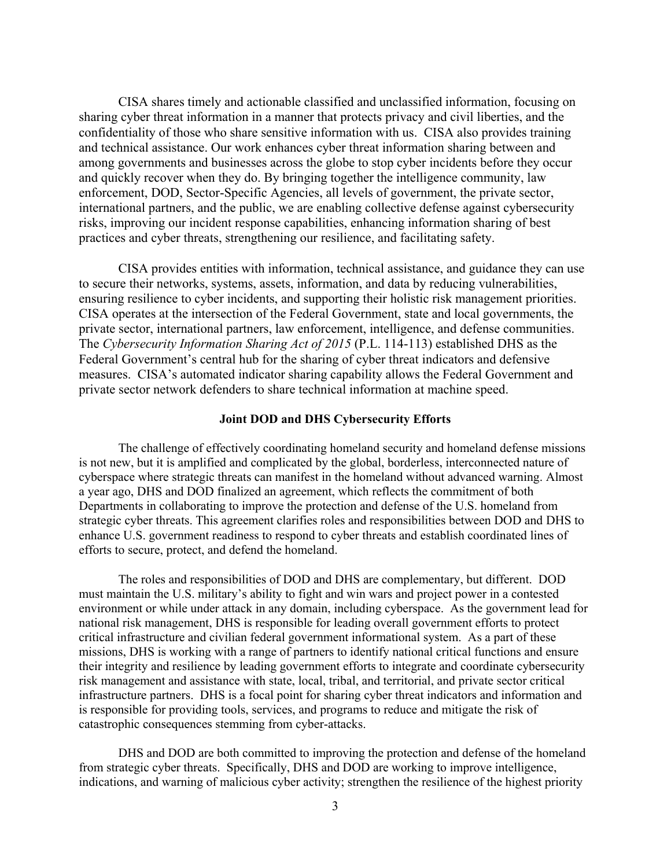CISA shares timely and actionable classified and unclassified information, focusing on sharing cyber threat information in a manner that protects privacy and civil liberties, and the confidentiality of those who share sensitive information with us. CISA also provides training and technical assistance. Our work enhances cyber threat information sharing between and among governments and businesses across the globe to stop cyber incidents before they occur and quickly recover when they do. By bringing together the intelligence community, law enforcement, DOD, Sector-Specific Agencies, all levels of government, the private sector, international partners, and the public, we are enabling collective defense against cybersecurity risks, improving our incident response capabilities, enhancing information sharing of best practices and cyber threats, strengthening our resilience, and facilitating safety.

CISA provides entities with information, technical assistance, and guidance they can use to secure their networks, systems, assets, information, and data by reducing vulnerabilities, ensuring resilience to cyber incidents, and supporting their holistic risk management priorities. CISA operates at the intersection of the Federal Government, state and local governments, the private sector, international partners, law enforcement, intelligence, and defense communities. The *Cybersecurity Information Sharing Act of 2015* (P.L. 114-113) established DHS as the Federal Government's central hub for the sharing of cyber threat indicators and defensive measures. CISA's automated indicator sharing capability allows the Federal Government and private sector network defenders to share technical information at machine speed.

## **Joint DOD and DHS Cybersecurity Efforts**

The challenge of effectively coordinating homeland security and homeland defense missions is not new, but it is amplified and complicated by the global, borderless, interconnected nature of cyberspace where strategic threats can manifest in the homeland without advanced warning. Almost a year ago, DHS and DOD finalized an agreement, which reflects the commitment of both Departments in collaborating to improve the protection and defense of the U.S. homeland from strategic cyber threats. This agreement clarifies roles and responsibilities between DOD and DHS to enhance U.S. government readiness to respond to cyber threats and establish coordinated lines of efforts to secure, protect, and defend the homeland.

The roles and responsibilities of DOD and DHS are complementary, but different. DOD must maintain the U.S. military's ability to fight and win wars and project power in a contested environment or while under attack in any domain, including cyberspace. As the government lead for national risk management, DHS is responsible for leading overall government efforts to protect critical infrastructure and civilian federal government informational system. As a part of these missions, DHS is working with a range of partners to identify national critical functions and ensure their integrity and resilience by leading government efforts to integrate and coordinate cybersecurity risk management and assistance with state, local, tribal, and territorial, and private sector critical infrastructure partners. DHS is a focal point for sharing cyber threat indicators and information and is responsible for providing tools, services, and programs to reduce and mitigate the risk of catastrophic consequences stemming from cyber-attacks.

DHS and DOD are both committed to improving the protection and defense of the homeland from strategic cyber threats. Specifically, DHS and DOD are working to improve intelligence, indications, and warning of malicious cyber activity; strengthen the resilience of the highest priority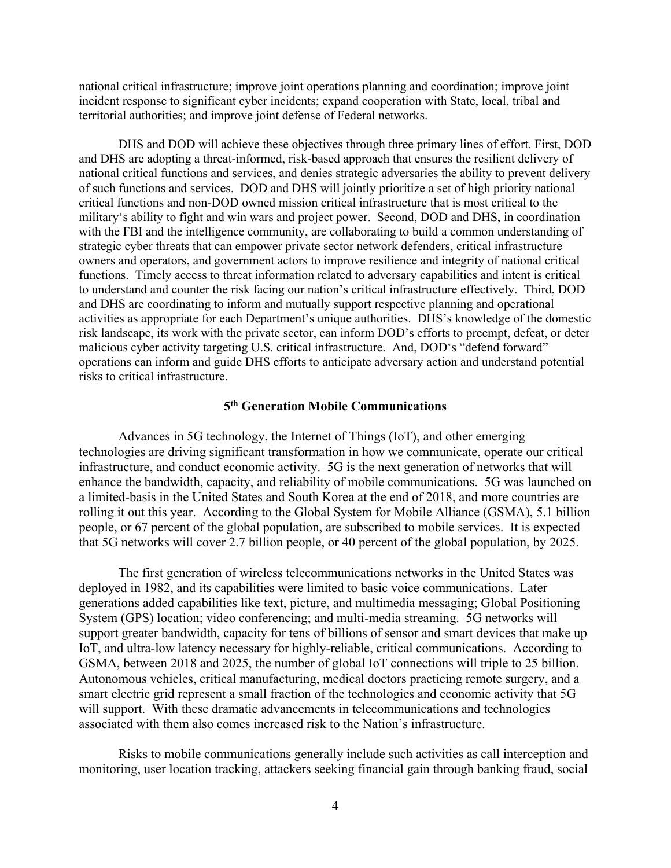national critical infrastructure; improve joint operations planning and coordination; improve joint incident response to significant cyber incidents; expand cooperation with State, local, tribal and territorial authorities; and improve joint defense of Federal networks.

DHS and DOD will achieve these objectives through three primary lines of effort. First, DOD and DHS are adopting a threat-informed, risk-based approach that ensures the resilient delivery of national critical functions and services, and denies strategic adversaries the ability to prevent delivery of such functions and services. DOD and DHS will jointly prioritize a set of high priority national critical functions and non-DOD owned mission critical infrastructure that is most critical to the military's ability to fight and win wars and project power. Second, DOD and DHS, in coordination with the FBI and the intelligence community, are collaborating to build a common understanding of strategic cyber threats that can empower private sector network defenders, critical infrastructure owners and operators, and government actors to improve resilience and integrity of national critical functions. Timely access to threat information related to adversary capabilities and intent is critical to understand and counter the risk facing our nation's critical infrastructure effectively. Third, DOD and DHS are coordinating to inform and mutually support respective planning and operational activities as appropriate for each Department's unique authorities. DHS's knowledge of the domestic risk landscape, its work with the private sector, can inform DOD's efforts to preempt, defeat, or deter malicious cyber activity targeting U.S. critical infrastructure. And, DOD's "defend forward" operations can inform and guide DHS efforts to anticipate adversary action and understand potential risks to critical infrastructure.

## **5th Generation Mobile Communications**

Advances in 5G technology, the Internet of Things (IoT), and other emerging technologies are driving significant transformation in how we communicate, operate our critical infrastructure, and conduct economic activity. 5G is the next generation of networks that will enhance the bandwidth, capacity, and reliability of mobile communications. 5G was launched on a limited-basis in the United States and South Korea at the end of 2018, and more countries are rolling it out this year. According to the Global System for Mobile Alliance (GSMA), 5.1 billion people, or 67 percent of the global population, are subscribed to mobile services. It is expected that 5G networks will cover 2.7 billion people, or 40 percent of the global population, by 2025.

The first generation of wireless telecommunications networks in the United States was deployed in 1982, and its capabilities were limited to basic voice communications. Later generations added capabilities like text, picture, and multimedia messaging; Global Positioning System (GPS) location; video conferencing; and multi-media streaming. 5G networks will support greater bandwidth, capacity for tens of billions of sensor and smart devices that make up IoT, and ultra-low latency necessary for highly-reliable, critical communications. According to GSMA, between 2018 and 2025, the number of global IoT connections will triple to 25 billion. Autonomous vehicles, critical manufacturing, medical doctors practicing remote surgery, and a smart electric grid represent a small fraction of the technologies and economic activity that 5G will support. With these dramatic advancements in telecommunications and technologies associated with them also comes increased risk to the Nation's infrastructure.

Risks to mobile communications generally include such activities as call interception and monitoring, user location tracking, attackers seeking financial gain through banking fraud, social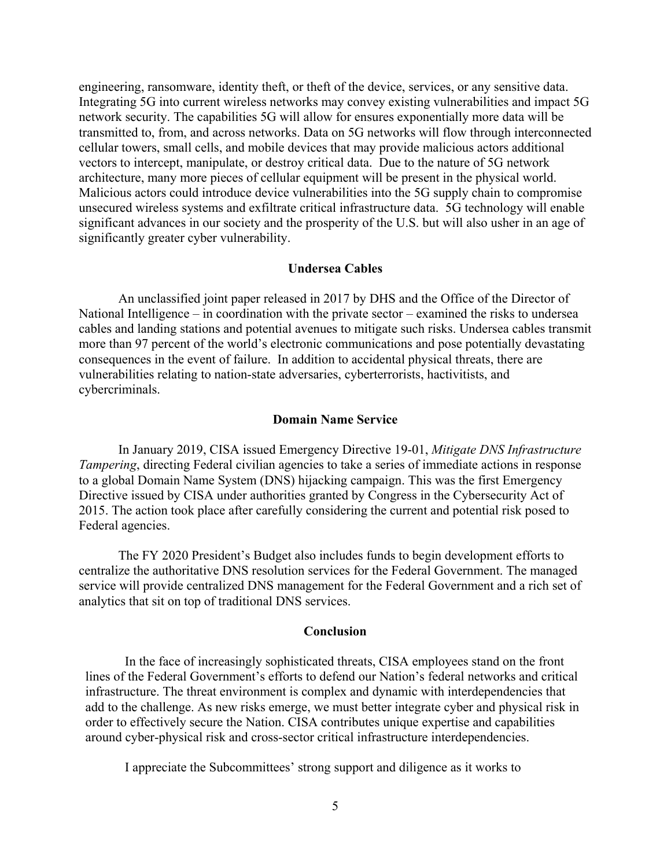engineering, ransomware, identity theft, or theft of the device, services, or any sensitive data. Integrating 5G into current wireless networks may convey existing vulnerabilities and impact 5G network security. The capabilities 5G will allow for ensures exponentially more data will be transmitted to, from, and across networks. Data on 5G networks will flow through interconnected cellular towers, small cells, and mobile devices that may provide malicious actors additional vectors to intercept, manipulate, or destroy critical data. Due to the nature of 5G network architecture, many more pieces of cellular equipment will be present in the physical world. Malicious actors could introduce device vulnerabilities into the 5G supply chain to compromise unsecured wireless systems and exfiltrate critical infrastructure data. 5G technology will enable significant advances in our society and the prosperity of the U.S. but will also usher in an age of significantly greater cyber vulnerability.

### **Undersea Cables**

An unclassified joint paper released in 2017 by DHS and the Office of the Director of National Intelligence – in coordination with the private sector – examined the risks to undersea cables and landing stations and potential avenues to mitigate such risks. Undersea cables transmit more than 97 percent of the world's electronic communications and pose potentially devastating consequences in the event of failure. In addition to accidental physical threats, there are vulnerabilities relating to nation-state adversaries, cyberterrorists, hactivitists, and cybercriminals.

#### **Domain Name Service**

In January 2019, CISA issued Emergency Directive 19-01, *Mitigate DNS Infrastructure Tampering*, directing Federal civilian agencies to take a series of immediate actions in response to a global Domain Name System (DNS) hijacking campaign. This was the first Emergency Directive issued by CISA under authorities granted by Congress in the Cybersecurity Act of 2015. The action took place after carefully considering the current and potential risk posed to Federal agencies.

The FY 2020 President's Budget also includes funds to begin development efforts to centralize the authoritative DNS resolution services for the Federal Government. The managed service will provide centralized DNS management for the Federal Government and a rich set of analytics that sit on top of traditional DNS services.

#### **Conclusion**

In the face of increasingly sophisticated threats, CISA employees stand on the front lines of the Federal Government's efforts to defend our Nation's federal networks and critical infrastructure. The threat environment is complex and dynamic with interdependencies that add to the challenge. As new risks emerge, we must better integrate cyber and physical risk in order to effectively secure the Nation. CISA contributes unique expertise and capabilities around cyber-physical risk and cross-sector critical infrastructure interdependencies.

I appreciate the Subcommittees' strong support and diligence as it works to